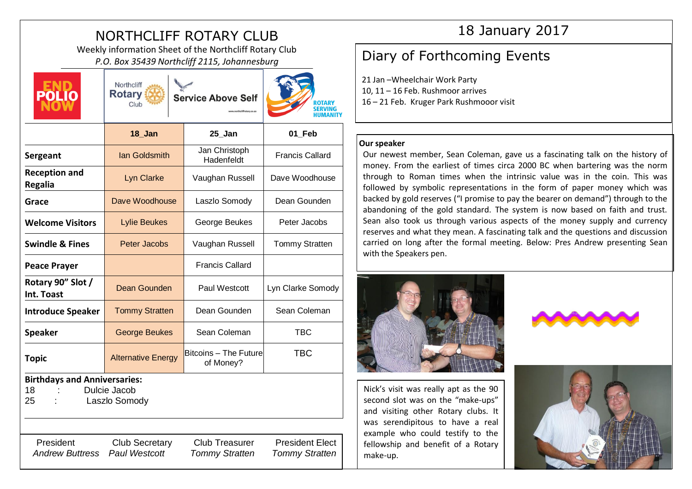# NORTHCLIFF ROTARY CLUB

Weekly information Sheet of the Northcliff Rotary Club PRIV INTOFMATION Sheet of the Northcliff Rotary Club<br>P.O. Box 35439 Northcliff 2115, Johannesburg **Diary of Forthcoming Events** 

 $N$ ortholiff  $\sim$ 

| <b>POLIO</b>                                                                     | <b>Rotary</b><br>Club                         | <b>Service Above Self</b>                      | ROTARY<br>SERVING<br>HUMANIT                    |
|----------------------------------------------------------------------------------|-----------------------------------------------|------------------------------------------------|-------------------------------------------------|
|                                                                                  | 18 Jan                                        | 25 Jan                                         | 01 Feb                                          |
| Sergeant                                                                         | <b>Ian Goldsmith</b>                          | Jan Christoph<br>Hadenfeldt                    | <b>Francis Callard</b>                          |
| <b>Reception and</b><br><b>Regalia</b>                                           | <b>Lyn Clarke</b>                             | Vaughan Russell                                | Dave Woodhouse                                  |
| Grace                                                                            | Dave Woodhouse                                | Laszlo Somody                                  | Dean Gounden                                    |
| <b>Welcome Visitors</b>                                                          | <b>Lylie Beukes</b>                           | George Beukes                                  | Peter Jacobs                                    |
| <b>Swindle &amp; Fines</b>                                                       | <b>Peter Jacobs</b>                           | Vaughan Russell                                | <b>Tommy Stratten</b>                           |
| <b>Peace Prayer</b>                                                              |                                               | <b>Francis Callard</b>                         |                                                 |
| Rotary 90" Slot /<br>Int. Toast                                                  | <b>Dean Gounden</b>                           | Paul Westcott                                  | Lyn Clarke Somody                               |
| <b>Introduce Speaker</b>                                                         | <b>Tommy Stratten</b>                         | Dean Gounden                                   | Sean Coleman                                    |
| <b>Speaker</b>                                                                   | <b>George Beukes</b>                          | Sean Coleman                                   | <b>TBC</b>                                      |
| <b>Topic</b>                                                                     | <b>Alternative Energy</b>                     | <b>Bitcoins - The Future</b><br>of Money?      | <b>TBC</b>                                      |
| <b>Birthdays and Anniversaries:</b><br>Dulcie Jacob<br>18<br>Laszlo Somody<br>25 |                                               |                                                |                                                 |
| President<br><b>Andrew Buttress</b>                                              | <b>Club Secretary</b><br><b>Paul Westcott</b> | <b>Club Treasurer</b><br><b>Tommy Stratten</b> | <b>President Elect</b><br><b>Tommy Stratten</b> |

# 18 January 2017

21 Jan –Wheelchair Work Party 10, 11 – 16 Feb. Rushmoor arrives 16 – 21 Feb. Kruger Park Rushmooor visit

### **Our speaker**

Our newest member, Sean Coleman, gave us a fascinating talk on the history of money. From the earliest of times circa 2000 BC when bartering was the norm through to Roman times when the intrinsic value was in the coin. This was followed by symbolic representations in the form of paper money which was backed by gold reserves ("I promise to pay the bearer on demand") through to the abandoning of the gold standard. The system is now based on faith and trust. Sean also took us through various aspects of the money supply and currency reserves and what they mean. A fascinating talk and the questions and discussion carried on long after the formal meeting. Below: Pres Andrew presenting Sean with the Speakers pen.



Nick's visit was really apt as the 90 second slot was on the "make-ups" and visiting other Rotary clubs. It was serendipitous to have a real example who could testify to the fellowship and benefit of a Rotary make-up.